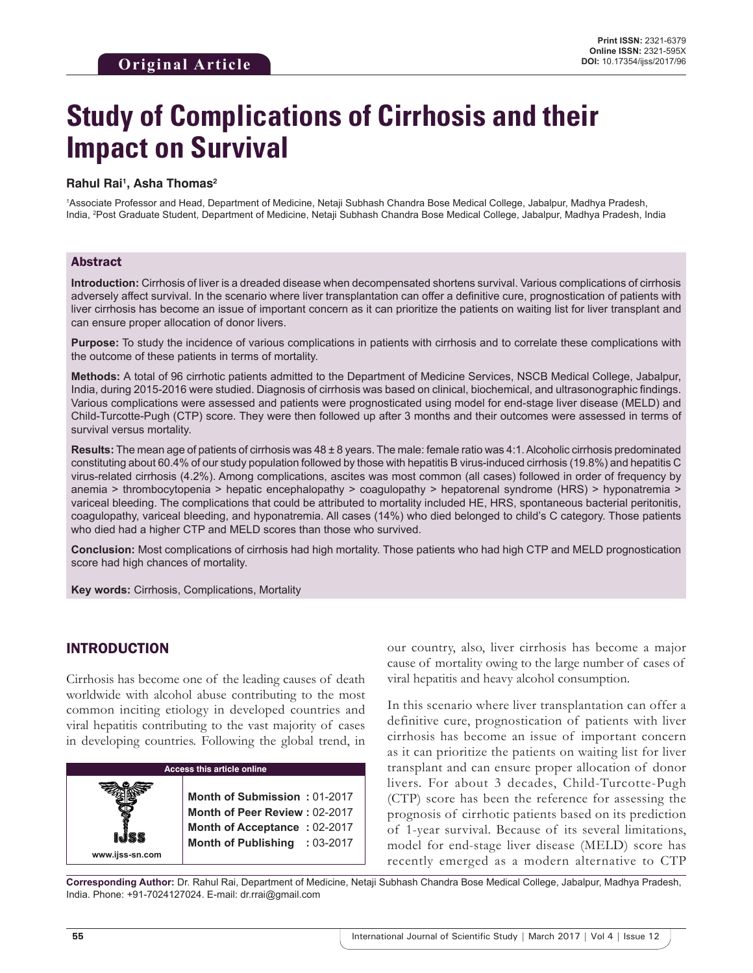# **Study of Complications of Cirrhosis and their Impact on Survival**

#### **Rahul Rai1 , Asha Thomas2**

1 Associate Professor and Head, Department of Medicine, Netaji Subhash Chandra Bose Medical College, Jabalpur, Madhya Pradesh, India, <sup>2</sup>Post Graduate Student, Department of Medicine, Netaji Subhash Chandra Bose Medical College, Jabalpur, Madhya Pradesh, India

#### Abstract

**Introduction:** Cirrhosis of liver is a dreaded disease when decompensated shortens survival. Various complications of cirrhosis adversely affect survival. In the scenario where liver transplantation can offer a definitive cure, prognostication of patients with liver cirrhosis has become an issue of important concern as it can prioritize the patients on waiting list for liver transplant and can ensure proper allocation of donor livers.

**Purpose:** To study the incidence of various complications in patients with cirrhosis and to correlate these complications with the outcome of these patients in terms of mortality.

**Methods:** A total of 96 cirrhotic patients admitted to the Department of Medicine Services, NSCB Medical College, Jabalpur, India, during 2015-2016 were studied. Diagnosis of cirrhosis was based on clinical, biochemical, and ultrasonographic findings. Various complications were assessed and patients were prognosticated using model for end-stage liver disease (MELD) and Child-Turcotte-Pugh (CTP) score. They were then followed up after 3 months and their outcomes were assessed in terms of survival versus mortality.

**Results:** The mean age of patients of cirrhosis was 48 ± 8 years. The male: female ratio was 4:1. Alcoholic cirrhosis predominated constituting about 60.4% of our study population followed by those with hepatitis B virus-induced cirrhosis (19.8%) and hepatitis C virus-related cirrhosis (4.2%). Among complications, ascites was most common (all cases) followed in order of frequency by anemia > thrombocytopenia > hepatic encephalopathy > coagulopathy > hepatorenal syndrome (HRS) > hyponatremia > variceal bleeding. The complications that could be attributed to mortality included HE, HRS, spontaneous bacterial peritonitis, coagulopathy, variceal bleeding, and hyponatremia. All cases (14%) who died belonged to child's C category. Those patients who died had a higher CTP and MELD scores than those who survived.

**Conclusion:** Most complications of cirrhosis had high mortality. Those patients who had high CTP and MELD prognostication score had high chances of mortality.

**Key words:** Cirrhosis, Complications, Mortality

## INTRODUCTION

**www.ijss-sn.com**

Cirrhosis has become one of the leading causes of death worldwide with alcohol abuse contributing to the most common inciting etiology in developed countries and viral hepatitis contributing to the vast majority of cases in developing countries. Following the global trend, in

# **Access this article online**

**Month of Submission :** 01-2017 **Month of Peer Review :** 02-2017 **Month of Acceptance :** 02-2017 **Month of Publishing :** 03-2017 our country, also, liver cirrhosis has become a major cause of mortality owing to the large number of cases of viral hepatitis and heavy alcohol consumption.

In this scenario where liver transplantation can offer a definitive cure, prognostication of patients with liver cirrhosis has become an issue of important concern as it can prioritize the patients on waiting list for liver transplant and can ensure proper allocation of donor livers. For about 3 decades, Child-Turcotte-Pugh (CTP) score has been the reference for assessing the prognosis of cirrhotic patients based on its prediction of 1-year survival. Because of its several limitations, model for end-stage liver disease (MELD) score has recently emerged as a modern alternative to CTP

**Corresponding Author:** Dr. Rahul Rai, Department of Medicine, Netaji Subhash Chandra Bose Medical College, Jabalpur, Madhya Pradesh, India. Phone: +91-7024127024. E-mail: dr.rrai@gmail.com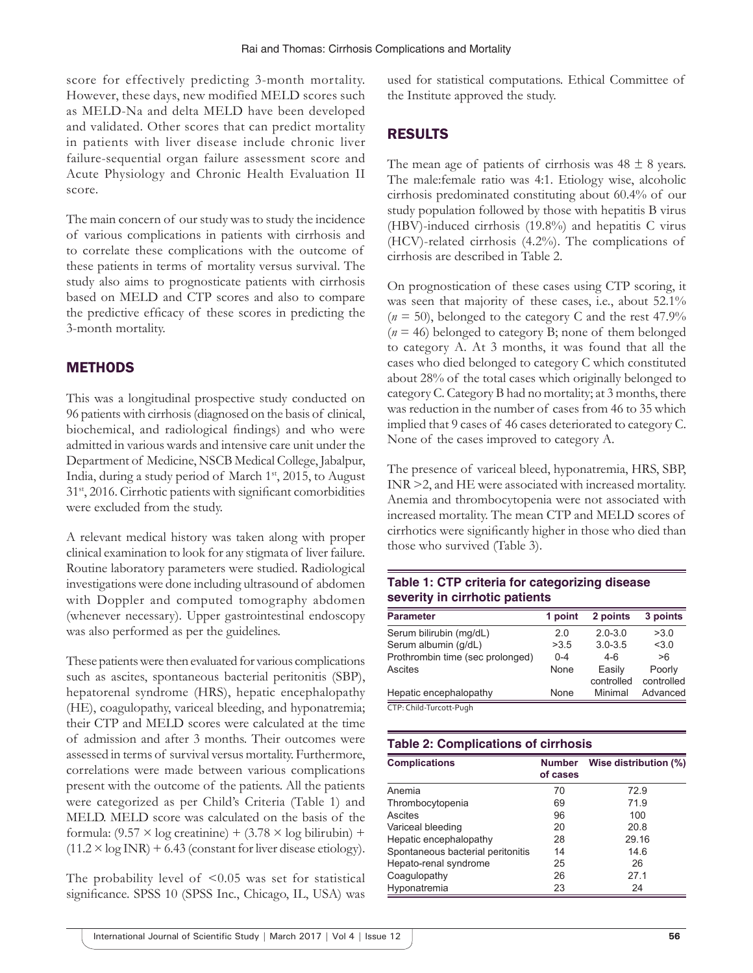score for effectively predicting 3-month mortality. However, these days, new modified MELD scores such as MELD-Na and delta MELD have been developed and validated. Other scores that can predict mortality in patients with liver disease include chronic liver failure-sequential organ failure assessment score and Acute Physiology and Chronic Health Evaluation II score.

The main concern of our study was to study the incidence of various complications in patients with cirrhosis and to correlate these complications with the outcome of these patients in terms of mortality versus survival. The study also aims to prognosticate patients with cirrhosis based on MELD and CTP scores and also to compare the predictive efficacy of these scores in predicting the 3-month mortality.

# METHODS

This was a longitudinal prospective study conducted on 96 patients with cirrhosis (diagnosed on the basis of clinical, biochemical, and radiological findings) and who were admitted in various wards and intensive care unit under the Department of Medicine, NSCB Medical College, Jabalpur, India, during a study period of March  $1<sup>st</sup>$ , 2015, to August 31st, 2016. Cirrhotic patients with significant comorbidities were excluded from the study.

A relevant medical history was taken along with proper clinical examination to look for any stigmata of liver failure. Routine laboratory parameters were studied. Radiological investigations were done including ultrasound of abdomen with Doppler and computed tomography abdomen (whenever necessary). Upper gastrointestinal endoscopy was also performed as per the guidelines.

These patients were then evaluated for various complications such as ascites, spontaneous bacterial peritonitis (SBP), hepatorenal syndrome (HRS), hepatic encephalopathy (HE), coagulopathy, variceal bleeding, and hyponatremia; their CTP and MELD scores were calculated at the time of admission and after 3 months. Their outcomes were assessed in terms of survival versus mortality. Furthermore, correlations were made between various complications present with the outcome of the patients. All the patients were categorized as per Child's Criteria (Table 1) and MELD. MELD score was calculated on the basis of the formula:  $(9.57 \times \log \text{c} \cdot \text{c} \cdot \text{c} + (3.78 \times \log \text{b} \cdot \text{d} \cdot \text{c} + \text{d} \cdot \text{d} \cdot \text{d})$  $(11.2 \times \log \text{INR}) + 6.43$  (constant for liver disease etiology).

The probability level of  $\leq 0.05$  was set for statistical significance. SPSS 10 (SPSS Inc., Chicago, IL, USA) was used for statistical computations. Ethical Committee of the Institute approved the study.

# RESULTS

The mean age of patients of cirrhosis was  $48 \pm 8$  years. The male:female ratio was 4:1. Etiology wise, alcoholic cirrhosis predominated constituting about 60.4% of our study population followed by those with hepatitis B virus (HBV)-induced cirrhosis (19.8%) and hepatitis C virus (HCV)-related cirrhosis (4.2%). The complications of cirrhosis are described in Table 2.

On prognostication of these cases using CTP scoring, it was seen that majority of these cases, i.e., about 52.1%  $(n = 50)$ , belonged to the category C and the rest 47.9%  $(n = 46)$  belonged to category B; none of them belonged to category A. At 3 months, it was found that all the cases who died belonged to category C which constituted about 28% of the total cases which originally belonged to category C. Category B had no mortality; at 3 months, there was reduction in the number of cases from 46 to 35 which implied that 9 cases of 46 cases deteriorated to category C. None of the cases improved to category A.

The presence of variceal bleed, hyponatremia, HRS, SBP, INR >2, and HE were associated with increased mortality. Anemia and thrombocytopenia were not associated with increased mortality. The mean CTP and MELD scores of cirrhotics were significantly higher in those who died than those who survived (Table 3).

#### **Table 1: CTP criteria for categorizing disease severity in cirrhotic patients**

| <b>Parameter</b>                 | 1 point | 2 points    | 3 points   |
|----------------------------------|---------|-------------|------------|
| Serum bilirubin (mg/dL)          | 2.0     | $2.0 - 3.0$ | >3.0       |
| Serum albumin (g/dL)             | >3.5    | $3.0 - 3.5$ | < 3.0      |
| Prothrombin time (sec prolonged) | $0 - 4$ | $4-6$       | >6         |
| Ascites                          | None    | Easily      | Poorly     |
|                                  |         | controlled  | controlled |
| Hepatic encephalopathy           | None    | Minimal     | Advanced   |
| CTD. Child Turcott Pugh          |         |             |            |

CTP: Child-Turcott-Pugh

#### **Table 2: Complications of cirrhosis**

| <b>Complications</b>              | <b>Number</b><br>of cases | Wise distribution (%) |
|-----------------------------------|---------------------------|-----------------------|
| Anemia                            | 70                        | 72.9                  |
| Thrombocytopenia                  | 69                        | 71.9                  |
| Ascites                           | 96                        | 100                   |
| Variceal bleeding                 | 20                        | 20.8                  |
| Hepatic encephalopathy            | 28                        | 29.16                 |
| Spontaneous bacterial peritonitis | 14                        | 14.6                  |
| Hepato-renal syndrome             | 25                        | 26                    |
| Coaquiopathy                      | 26                        | 27.1                  |
| Hyponatremia                      | 23                        | 24                    |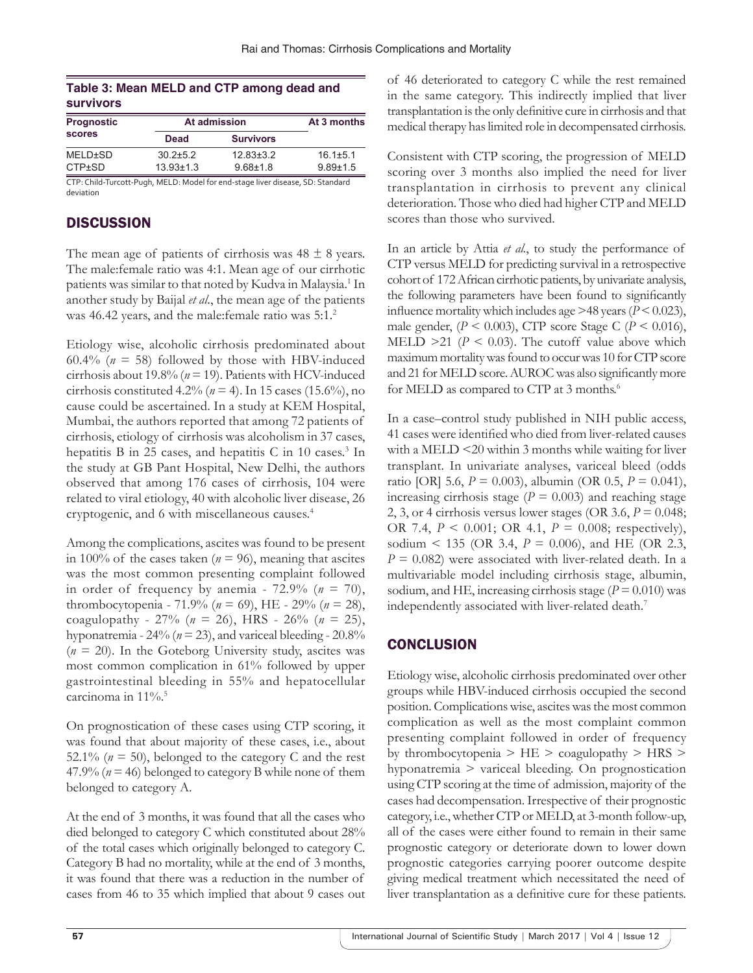|                  | Table 3: Mean MELD and CTP among dead and |  |  |
|------------------|-------------------------------------------|--|--|
| <b>survivors</b> |                                           |  |  |

| <b>Prognostic</b><br><b>scores</b> | At admission    | At 3 months      |                |
|------------------------------------|-----------------|------------------|----------------|
|                                    | <b>Dead</b>     | <b>Survivors</b> |                |
| MELD±SD                            | $30.2 \pm 5.2$  | $12.83 \pm 3.2$  | $16.1 \pm 5.1$ |
| $CTP \pm SD$                       | $13.93 \pm 1.3$ | $9.68 \pm 1.8$   | $9.89 \pm 1.5$ |

CTP: Child-Turcott-Pugh, MELD: Model for end-stage liver disease, SD: Standard deviation

# **DISCUSSION**

The mean age of patients of cirrhosis was  $48 \pm 8$  years. The male:female ratio was 4:1. Mean age of our cirrhotic patients was similar to that noted by Kudva in Malaysia.<sup>1</sup> In another study by Baijal *et al*., the mean age of the patients was 46.42 years, and the male:female ratio was  $5:1.^2$ 

Etiology wise, alcoholic cirrhosis predominated about 60.4% ( $n = 58$ ) followed by those with HBV-induced cirrhosis about 19.8% (*n* = 19). Patients with HCV-induced cirrhosis constituted  $4.2\%$  ( $n = 4$ ). In 15 cases (15.6%), no cause could be ascertained. In a study at KEM Hospital, Mumbai, the authors reported that among 72 patients of cirrhosis, etiology of cirrhosis was alcoholism in 37 cases, hepatitis B in 25 cases, and hepatitis C in 10 cases.<sup>3</sup> In the study at GB Pant Hospital, New Delhi, the authors observed that among 176 cases of cirrhosis, 104 were related to viral etiology, 40 with alcoholic liver disease, 26 cryptogenic, and 6 with miscellaneous causes.4

Among the complications, ascites was found to be present in 100% of the cases taken ( $n = 96$ ), meaning that ascites was the most common presenting complaint followed in order of frequency by anemia -  $72.9\%$  ( $n = 70$ ), thrombocytopenia - 71.9% (*n* = 69), HE - 29% (*n* = 28), coagulopathy - 27% (*n* = 26), HRS - 26% (*n* = 25), hyponatremia -  $24\%$  ( $n = 23$ ), and variceal bleeding -  $20.8\%$  $(n = 20)$ . In the Goteborg University study, ascites was most common complication in 61% followed by upper gastrointestinal bleeding in 55% and hepatocellular carcinoma in 11%.<sup>5</sup>

On prognostication of these cases using CTP scoring, it was found that about majority of these cases, i.e., about 52.1% ( $n = 50$ ), belonged to the category C and the rest 47.9% ( $n = 46$ ) belonged to category B while none of them belonged to category A.

At the end of 3 months, it was found that all the cases who died belonged to category C which constituted about 28% of the total cases which originally belonged to category C. Category B had no mortality, while at the end of 3 months, it was found that there was a reduction in the number of cases from 46 to 35 which implied that about 9 cases out of 46 deteriorated to category C while the rest remained in the same category. This indirectly implied that liver transplantation is the only definitive cure in cirrhosis and that medical therapy has limited role in decompensated cirrhosis.

Consistent with CTP scoring, the progression of MELD scoring over 3 months also implied the need for liver transplantation in cirrhosis to prevent any clinical deterioration. Those who died had higher CTP and MELD scores than those who survived.

In an article by Attia *et al.*, to study the performance of CTP versus MELD for predicting survival in a retrospective cohort of 172 African cirrhotic patients, by univariate analysis, the following parameters have been found to significantly influence mortality which includes age >48 years (*P* < 0.023), male gender,  $(P < 0.003)$ , CTP score Stage C  $(P < 0.016)$ , MELD  $>21$  ( $P < 0.03$ ). The cutoff value above which maximum mortality was found to occur was 10 for CTP score and 21 for MELD score. AUROC was also significantly more for MELD as compared to CTP at 3 months.<sup>6</sup>

In a case–control study published in NIH public access, 41 cases were identified who died from liver-related causes with a MELD <20 within 3 months while waiting for liver transplant. In univariate analyses, variceal bleed (odds ratio [OR] 5.6,  $P = 0.003$ ), albumin (OR 0.5,  $P = 0.041$ ), increasing cirrhosis stage ( $P = 0.003$ ) and reaching stage 2, 3, or 4 cirrhosis versus lower stages (OR 3.6,  $P = 0.048$ ; OR 7.4, *P* < 0.001; OR 4.1, *P* = 0.008; respectively), sodium < 135 (OR 3.4, *P* = 0.006), and HE (OR 2.3, *P* = 0.082) were associated with liver-related death. In a multivariable model including cirrhosis stage, albumin, sodium, and HE, increasing cirrhosis stage  $(P = 0.010)$  was independently associated with liver-related death.7

# **CONCLUSION**

Etiology wise, alcoholic cirrhosis predominated over other groups while HBV-induced cirrhosis occupied the second position. Complications wise, ascites was the most common complication as well as the most complaint common presenting complaint followed in order of frequency by thrombocytopenia  $>$  HE  $>$  coagulopathy  $>$  HRS  $>$ hyponatremia > variceal bleeding. On prognostication using CTP scoring at the time of admission, majority of the cases had decompensation. Irrespective of their prognostic category, i.e.,whether CTP or MELD, at 3-month follow-up, all of the cases were either found to remain in their same prognostic category or deteriorate down to lower down prognostic categories carrying poorer outcome despite giving medical treatment which necessitated the need of liver transplantation as a definitive cure for these patients.